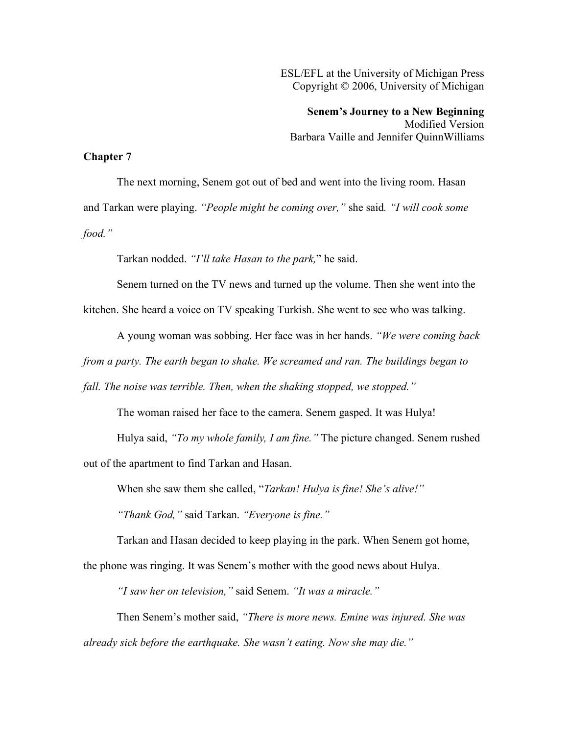ESL/EFL at the University of Michigan Press Copyright © 2006, University of Michigan

**Senem's Journey to a New Beginning** Modified Version Barbara Vaille and Jennifer QuinnWilliams

## **Chapter 7**

The next morning, Senem got out of bed and went into the living room. Hasan and Tarkan were playing. *"People might be coming over,"* she said*. "I will cook some food."*

Tarkan nodded. *"I'll take Hasan to the park,*" he said.

Senem turned on the TV news and turned up the volume. Then she went into the

kitchen. She heard a voice on TV speaking Turkish. She went to see who was talking.

A young woman was sobbing. Her face was in her hands. *"We were coming back*

*from a party. The earth began to shake. We screamed and ran. The buildings began to* 

*fall. The noise was terrible. Then, when the shaking stopped, we stopped."*

The woman raised her face to the camera. Senem gasped. It was Hulya!

Hulya said, *"To my whole family, I am fine."* The picture changed. Senem rushed

out of the apartment to find Tarkan and Hasan.

When she saw them she called, "*Tarkan! Hulya is fine! She's alive!"*

*"Thank God,"* said Tarkan. *"Everyone is fine."*

Tarkan and Hasan decided to keep playing in the park. When Senem got home, the phone was ringing. It was Senem's mother with the good news about Hulya.

*"I saw her on television,"* said Senem. *"It was a miracle."*

Then Senem's mother said, *"There is more news. Emine was injured. She was already sick before the earthquake. She wasn't eating. Now she may die."*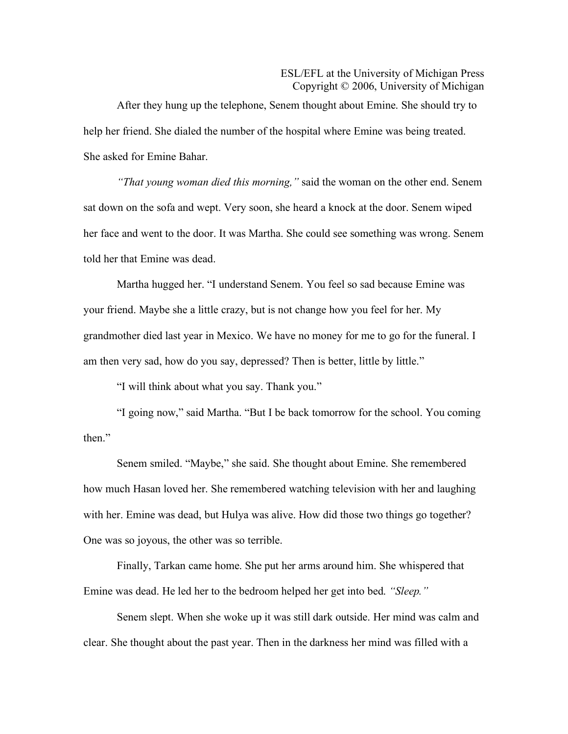## ESL/EFL at the University of Michigan Press Copyright © 2006, University of Michigan

After they hung up the telephone, Senem thought about Emine. She should try to help her friend. She dialed the number of the hospital where Emine was being treated. She asked for Emine Bahar.

*"That young woman died this morning,"* said the woman on the other end. Senem sat down on the sofa and wept. Very soon, she heard a knock at the door. Senem wiped her face and went to the door. It was Martha. She could see something was wrong. Senem told her that Emine was dead.

Martha hugged her. "I understand Senem. You feel so sad because Emine was your friend. Maybe she a little crazy, but is not change how you feel for her. My grandmother died last year in Mexico. We have no money for me to go for the funeral. I am then very sad, how do you say, depressed? Then is better, little by little."

"I will think about what you say. Thank you."

"I going now," said Martha. "But I be back tomorrow for the school. You coming then."

Senem smiled. "Maybe," she said. She thought about Emine. She remembered how much Hasan loved her. She remembered watching television with her and laughing with her. Emine was dead, but Hulya was alive. How did those two things go together? One was so joyous, the other was so terrible.

Finally, Tarkan came home. She put her arms around him. She whispered that Emine was dead. He led her to the bedroom helped her get into bed. *"Sleep."*

Senem slept. When she woke up it was still dark outside. Her mind was calm and clear. She thought about the past year. Then in the darkness her mind was filled with a